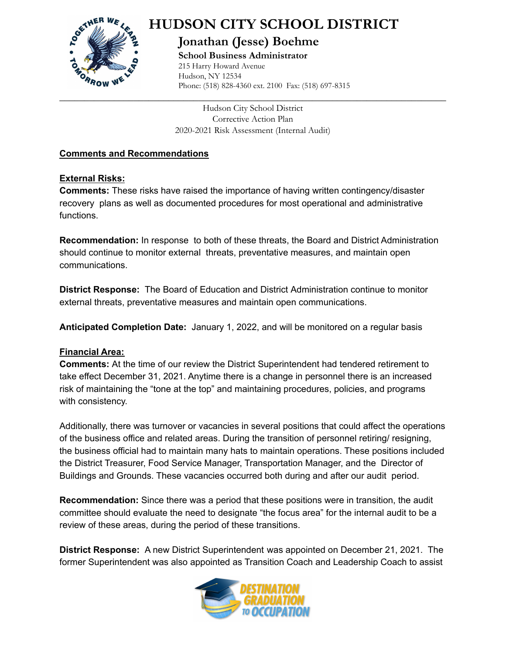

# **HUDSON CITY SCHOOL DISTRICT**

# **Jonathan (Jesse) Boehme**

**School Business Administrator** 215 Harry Howard Avenue Hudson, NY 12534 Phone: (518) 828-4360 ext. 2100 Fax: (518) 697-8315

Hudson City School District Corrective Action Plan 2020-2021 Risk Assessment (Internal Audit)

**\_\_\_\_\_\_\_\_\_\_\_\_\_\_\_\_\_\_\_\_\_\_\_\_\_\_\_\_\_\_\_\_\_\_\_\_\_\_\_\_\_\_\_\_\_\_\_\_\_\_\_\_\_\_\_\_\_\_\_\_\_\_\_\_\_\_\_\_\_\_\_\_\_\_\_\_\_\_**

## **Comments and Recommendations**

### **External Risks:**

**Comments:** These risks have raised the importance of having written contingency/disaster recovery plans as well as documented procedures for most operational and administrative functions.

**Recommendation:** In response to both of these threats, the Board and District Administration should continue to monitor external threats, preventative measures, and maintain open communications.

**District Response:** The Board of Education and District Administration continue to monitor external threats, preventative measures and maintain open communications.

**Anticipated Completion Date:** January 1, 2022, and will be monitored on a regular basis

#### **Financial Area:**

**Comments:** At the time of our review the District Superintendent had tendered retirement to take effect December 31, 2021. Anytime there is a change in personnel there is an increased risk of maintaining the "tone at the top" and maintaining procedures, policies, and programs with consistency.

Additionally, there was turnover or vacancies in several positions that could affect the operations of the business office and related areas. During the transition of personnel retiring/ resigning, the business official had to maintain many hats to maintain operations. These positions included the District Treasurer, Food Service Manager, Transportation Manager, and the Director of Buildings and Grounds. These vacancies occurred both during and after our audit period.

**Recommendation:** Since there was a period that these positions were in transition, the audit committee should evaluate the need to designate "the focus area" for the internal audit to be a review of these areas, during the period of these transitions.

**District Response:** A new District Superintendent was appointed on December 21, 2021. The former Superintendent was also appointed as Transition Coach and Leadership Coach to assist

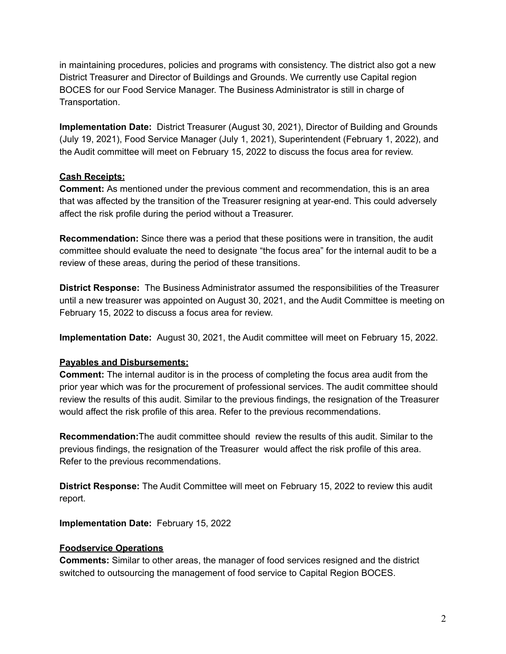in maintaining procedures, policies and programs with consistency. The district also got a new District Treasurer and Director of Buildings and Grounds. We currently use Capital region BOCES for our Food Service Manager. The Business Administrator is still in charge of Transportation.

**Implementation Date:** District Treasurer (August 30, 2021), Director of Building and Grounds (July 19, 2021), Food Service Manager (July 1, 2021), Superintendent (February 1, 2022), and the Audit committee will meet on February 15, 2022 to discuss the focus area for review.

#### **Cash Receipts:**

**Comment:** As mentioned under the previous comment and recommendation, this is an area that was affected by the transition of the Treasurer resigning at year-end. This could adversely affect the risk profile during the period without a Treasurer.

**Recommendation:** Since there was a period that these positions were in transition, the audit committee should evaluate the need to designate "the focus area" for the internal audit to be a review of these areas, during the period of these transitions.

**District Response:** The Business Administrator assumed the responsibilities of the Treasurer until a new treasurer was appointed on August 30, 2021, and the Audit Committee is meeting on February 15, 2022 to discuss a focus area for review.

**Implementation Date:** August 30, 2021, the Audit committee will meet on February 15, 2022.

#### **Payables and Disbursements:**

**Comment:** The internal auditor is in the process of completing the focus area audit from the prior year which was for the procurement of professional services. The audit committee should review the results of this audit. Similar to the previous findings, the resignation of the Treasurer would affect the risk profile of this area. Refer to the previous recommendations.

**Recommendation:**The audit committee should review the results of this audit. Similar to the previous findings, the resignation of the Treasurer would affect the risk profile of this area. Refer to the previous recommendations.

**District Response:** The Audit Committee will meet on February 15, 2022 to review this audit report.

**Implementation Date:** February 15, 2022

#### **Foodservice Operations**

**Comments:** Similar to other areas, the manager of food services resigned and the district switched to outsourcing the management of food service to Capital Region BOCES.